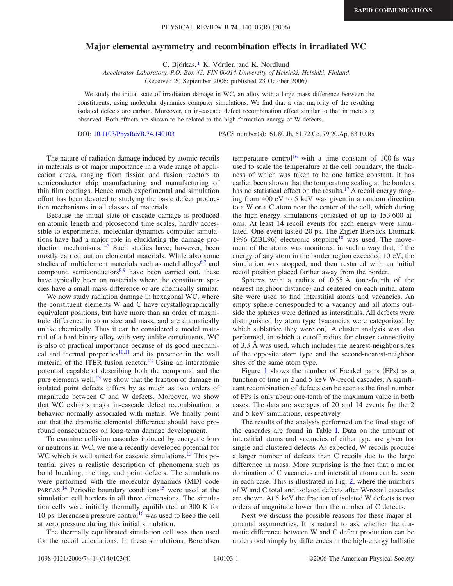## **Major elemental asymmetry and recombination effects in irradiated WC**

C. Björkas[,\\*](#page-2-0) K. Vörtler, and K. Nordlund

*Accelerator Laboratory, P.O. Box 43, FIN-00014 University of Helsinki, Helsinki, Finland*

(Received 20 September 2006; published 23 October 2006)

We study the initial state of irradiation damage in WC, an alloy with a large mass difference between the constituents, using molecular dynamics computer simulations. We find that a vast majority of the resulting isolated defects are carbon. Moreover, an in-cascade defect recombination effect similar to that in metals is observed. Both effects are shown to be related to the high formation energy of W defects.

DOI: [10.1103/PhysRevB.74.140103](http://dx.doi.org/10.1103/PhysRevB.74.140103)

PACS number(s): 61.80.Jh, 61.72.Cc, 79.20.Ap, 83.10.Rs

The nature of radiation damage induced by atomic recoils in materials is of major importance in a wide range of application areas, ranging from fission and fusion reactors to semiconductor chip manufacturing and manufacturing of thin film coatings. Hence much experimental and simulation effort has been devoted to studying the basic defect production mechanisms in all classes of materials.

Because the initial state of cascade damage is produced on atomic length and picosecond time scales, hardly accessible to experiments, molecular dynamics computer simulations have had a major role in elucidating the damage production mechanisms. $1-5$  $1-5$  Such studies have, however, been mostly carried out on elemental materials. While also some studies of multielement materials such as metal alloys $6,7$  $6,7$  and compound semiconductors $8,9$  $8,9$  have been carried out, these have typically been on materials where the constituent species have a small mass difference or are chemically similar.

We now study radiation damage in hexagonal WC, where the constituent elements W and C have crystallographically equivalent positions, but have more than an order of magnitude difference in atom size and mass, and are dramatically unlike chemically. Thus it can be considered a model material of a hard binary alloy with very unlike constituents. WC is also of practical importance because of its good mechanical and thermal properties $10,11$  $10,11$  and its presence in the wall material of the ITER fusion reactor.<sup>12</sup> Using an interatomic potential capable of describing both the compound and the pure elements well,  $^{13}$  we show that the fraction of damage in isolated point defects differs by as much as two orders of magnitude between C and W defects. Moreover, we show that WC exhibits major in-cascade defect recombination, a behavior normally associated with metals. We finally point out that the dramatic elemental difference should have profound consequences on long-term damage development.

To examine collision cascades induced by energetic ions or neutrons in WC, we use a recently developed potential for WC which is well suited for cascade simulations.<sup>13</sup> This potential gives a realistic description of phenomena such as bond breaking, melting, and point defects. The simulations were performed with the molecular dynamics (MD) code PARCAS.<sup>[14](#page-3-0)</sup> Periodic boundary conditions<sup>15</sup> were used at the simulation cell borders in all three dimensions. The simulation cells were initially thermally equilibrated at 300 K for 10 ps. Berendsen pressure control<sup>16</sup> was used to keep the cell at zero pressure during this initial simulation.

The thermally equilibrated simulation cell was then used for the recoil calculations. In these simulations, Berendsen temperature control<sup>16</sup> with a time constant of 100 fs was used to scale the temperature at the cell boundary, the thickness of which was taken to be one lattice constant. It has earlier been shown that the temperature scaling at the borders has no statistical effect on the results.<sup>17</sup> A recoil energy ranging from 400 eV to 5 keV was given in a random direction to a W or a C atom near the center of the cell, which during the high-energy simulations consisted of up to 153 600 atoms. At least 14 recoil events for each energy were simulated. One event lasted 20 ps. The Zigler-Biersack-Littmark 1996 (ZBL96) electronic stopping<sup>18</sup> was used. The movement of the atoms was monitored in such a way that, if the energy of any atom in the border region exceeded 10 eV, the simulation was stopped, and then restarted with an initial recoil position placed farther away from the border.

Spheres with a radius of  $0.55 \text{ Å}$  (one-fourth of the nearest-neighbor distance) and centered on each initial atom site were used to find interstitial atoms and vacancies. An empty sphere corresponded to a vacancy and all atoms outside the spheres were defined as interstitials. All defects were distinguished by atom type (vacancies were categorized by which sublattice they were on). A cluster analysis was also performed, in which a cutoff radius for cluster connectivity of 3.3 Å was used, which includes the nearest-neighbor sites of the opposite atom type and the second-nearest-neighbor sites of the same atom type.

Figure  $1$  shows the number of Frenkel pairs (FPs) as a function of time in 2 and 5 keV W-recoil cascades. A significant recombination of defects can be seen as the final number of FPs is only about one-tenth of the maximum value in both cases. The data are averages of 20 and 14 events for the 2 and 5 keV simulations, respectively.

The results of the analysis performed on the final stage of the cascades are found in Table [I.](#page-1-1) Data on the amount of interstitial atoms and vacancies of either type are given for single and clustered defects. As expected, W recoils produce a larger number of defects than C recoils due to the large difference in mass. More surprising is the fact that a major domination of C vacancies and interstitial atoms can be seen in each case. This is illustrated in Fig. [2,](#page-1-2) where the numbers of W and C total and isolated defects after W-recoil cascades are shown. At 5 keV the fraction of isolated W defects is two orders of magnitude lower than the number of C defects.

Next we discuss the possible reasons for these major elemental asymmetries. It is natural to ask whether the dramatic difference between W and C defect production can be understood simply by differences in the high-energy ballistic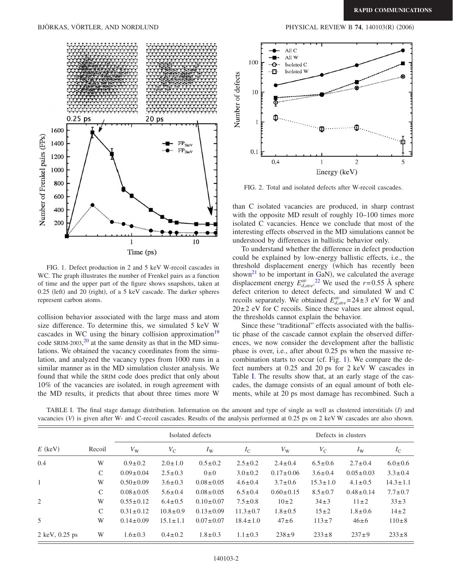## BJÖRKAS, VÖRTLER, AND NORDLUND

<span id="page-1-0"></span>

FIG. 1. Defect production in 2 and 5 keV W-recoil cascades in WC. The graph illustrates the number of Frenkel pairs as a function of time and the upper part of the figure shows snapshots, taken at 0.25 (left) and 20 (right), of a 5 keV cascade. The darker spheres represent carbon atoms.

collision behavior associated with the large mass and atom size difference. To determine this, we simulated 5 keV W cascades in WC using the binary collision approximation<sup>19</sup> code SRIM-[20](#page-3-6)03, $^{20}$  at the same density as that in the MD simulations. We obtained the vacancy coordinates from the simulation, and analyzed the vacancy types from 1000 runs in a similar manner as in the MD simulation cluster analysis. We found that while the SRIM code does predict that only about 10% of the vacancies are isolated, in rough agreement with the MD results, it predicts that about three times more W

<span id="page-1-2"></span>

FIG. 2. Total and isolated defects after W-recoil cascades.

than C isolated vacancies are produced, in sharp contrast with the opposite MD result of roughly  $10-100$  times more isolated C vacancies. Hence we conclude that most of the interesting effects observed in the MD simulations cannot be understood by differences in ballistic behavior only.

To understand whether the difference in defect production could be explained by low-energy ballistic effects, i.e., the threshold displacement energy (which has recently been shown<sup>21</sup> to be important in GaN), we calculated the average displacement energy  $E_{d,ave}^{av}$ .<sup>[22](#page-3-8)</sup> We used the *r*=0.55 Å sphere defect criterion to detect defects, and simulated W and C recoils separately. We obtained  $E_{d,ave}^{av}$ =24±3 eV for W and  $20±2$  eV for C recoils. Since these values are almost equal, the thresholds cannot explain the behavior.

Since these "traditional" effects associated with the ballistic phase of the cascade cannot explain the observed differences, we now consider the development after the ballistic phase is over, i.e., after about 0.25 ps when the massive recombination starts to occur (cf. Fig.  $1$ ). We compare the defect numbers at 0.25 and 20 ps for 2 keV W cascades in Table [I.](#page-1-1) The results show that, at an early stage of the cascades, the damage consists of an equal amount of both elements, while at 20 ps most damage has recombined. Such a

<span id="page-1-1"></span>TABLE I. The final stage damage distribution. Information on the amount and type of single as well as clustered interstitials (*I*) and vacancies (V) is given after W- and C-recoil cascades. Results of the analysis performed at 0.25 ps on 2 keV W cascades are also shown.

| $E$ (keV)                        | Recoil        | Isolated defects |                |                 |                | Defects in clusters |                |                 |                |
|----------------------------------|---------------|------------------|----------------|-----------------|----------------|---------------------|----------------|-----------------|----------------|
|                                  |               | $V_{\rm W}$      | $V_{\rm C}$    | $I_{\rm W}$     | $I_{\rm C}$    | $V_{\rm W}$         | $V_{\rm C}$    | $I_{\rm W}$     | $I_{\rm C}$    |
| 0.4                              | W             | $0.9 \pm 0.2$    | $2.0 \pm 1.0$  | $0.5 \pm 0.2$   | $2.5 \pm 0.2$  | $2.4 \pm 0.4$       | $6.5 \pm 0.6$  | $2.7 \pm 0.4$   | $6.0 \pm 0.6$  |
|                                  | $\mathsf{C}$  | $0.09 \pm 0.04$  | $2.5 \pm 0.3$  | $0\pm 0$        | $3.0 \pm 0.2$  | $0.17 \pm 0.06$     | $3.6 \pm 0.4$  | $0.05 \pm 0.03$ | $3.3 \pm 0.4$  |
| $\mathbf{1}$                     | W             | $0.50 \pm 0.09$  | $3.6 \pm 0.3$  | $0.08 \pm 0.05$ | $4.6 \pm 0.4$  | $3.7 \pm 0.6$       | $15.3 \pm 1.0$ | $4.1 \pm 0.5$   | $14.3 \pm 1.1$ |
|                                  | $\mathcal{C}$ | $0.08 \pm 0.05$  | $5.6 \pm 0.4$  | $0.08 \pm 0.05$ | $6.5 \pm 0.4$  | $0.60 \pm 0.15$     | $8.5 \pm 0.7$  | $0.48 \pm 0.14$ | $7.7 \pm 0.7$  |
| 2                                | W             | $0.55 \pm 0.12$  | $6.4 \pm 0.5$  | $0.10 \pm 0.07$ | $7.5 \pm 0.8$  | $10\pm 2$           | $34 \pm 3$     | $11\pm2$        | $33\pm3$       |
|                                  | $\mathcal{C}$ | $0.31 \pm 0.12$  | $10.8 \pm 0.9$ | $0.13 \pm 0.09$ | $11.3 \pm 0.7$ | $1.8 \pm 0.5$       | $15\pm2$       | $1.8 \pm 0.6$   | $14\pm2$       |
| 5                                | W             | $0.14 \pm 0.09$  | $15.1 \pm 1.1$ | $0.07 \pm 0.07$ | $18.4 \pm 1.0$ | $47\pm 6$           | $113 \pm 7$    | $46 \pm 6$      | $110 \pm 8$    |
| $2 \text{ keV}, 0.25 \text{ ps}$ | W             | $1.6 \pm 0.3$    | $0.4 \pm 0.2$  | $1.8 \pm 0.3$   | $1.1 \pm 0.3$  | $238+9$             | $233 \pm 8$    | $237+9$         | $233 \pm 8$    |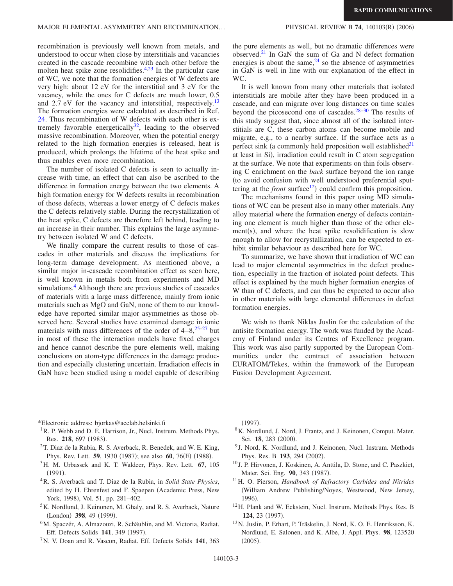$(2006)$ 

recombination is previously well known from metals, and understood to occur when close by interstitials and vacancies created in the cascade recombine with each other before the molten heat spike zone resolidifies. $4,23$  $4,23$  In the particular case of WC, we note that the formation energies of W defects are very high: about 12 eV for the interstitial and 3 eV for the vacancy, while the ones for C defects are much lower, 0.5 and 2.7 eV for the vacancy and interstitial, respectively.<sup>13</sup> The formation energies were calculated as described in Ref. [24.](#page-3-10) Thus recombination of W defects with each other is extremely favorable energetically<sup>32</sup>, leading to the observed massive recombination. Moreover, when the potential energy related to the high formation energies is released, heat is produced, which prolongs the lifetime of the heat spike and thus enables even more recombination.

The number of isolated C defects is seen to actually increase with time, an effect that can also be ascribed to the difference in formation energy between the two elements. A high formation energy for W defects results in recombination of those defects, whereas a lower energy of C defects makes the C defects relatively stable. During the recrystallization of the heat spike, C defects are therefore left behind, leading to an increase in their number. This explains the large asymmetry between isolated W and C defects.

We finally compare the current results to those of cascades in other materials and discuss the implications for long-term damage development. As mentioned above, a similar major in-cascade recombination effect as seen here, is well known in metals both from experiments and MD simulations.<sup>4</sup> Although there are previous studies of cascades of materials with a large mass difference, mainly from ionic materials such as MgO and GaN, none of them to our knowledge have reported similar major asymmetries as those observed here. Several studies have examined damage in ionic materials with mass differences of the order of  $4-8,^{25-27}$  $4-8,^{25-27}$  $4-8,^{25-27}$  but in most of these the interaction models have fixed charges and hence cannot describe the pure elements well, making conclusions on atom-type differences in the damage production and especially clustering uncertain. Irradiation effects in GaN have been studied using a model capable of describing the pure elements as well, but no dramatic differences were observed. $^{21}$  In GaN the sum of Ga and N defect formation energies is about the same, $24$  so the absence of asymmetries in GaN is well in line with our explanation of the effect in WC.

It is well known from many other materials that isolated interstitials are mobile after they have been produced in a cascade, and can migrate over long distances on time scales beyond the picosecond one of cascades. $28-30$  The results of this study suggest that, since almost all of the isolated interstitials are C, these carbon atoms can become mobile and migrate, e.g., to a nearby surface. If the surface acts as a perfect sink (a commonly held proposition well established $31$ at least in Si), irradiation could result in C atom segregation at the surface. We note that experiments on thin foils observing C enrichment on the *back* surface beyond the ion range to avoid confusion with well understood preferential sputtering at the *front* surface<sup>12</sup>) could confirm this proposition.

The mechanisms found in this paper using MD simulations of WC can be present also in many other materials. Any alloy material where the formation energy of defects containing one element is much higher than those of the other ele $ment(s)$ , and where the heat spike resolidification is slow enough to allow for recrystallization, can be expected to exhibit similar behaviour as described here for WC.

To summarize, we have shown that irradiation of WC can lead to major elemental asymmetries in the defect production, especially in the fraction of isolated point defects. This effect is explained by the much higher formation energies of W than of C defects, and can thus be expected to occur also in other materials with large elemental differences in defect formation energies.

We wish to thank Niklas Juslin for the calculation of the antisite formation energy. The work was funded by the Academy of Finland under its Centres of Excellence program. This work was also partly supported by the European Communities under the contract of association between EURATOM/Tekes, within the framework of the European Fusion Development Agreement.

<span id="page-2-0"></span>\*Electronic address: bjorkas@acclab.helsinki.fi

- <span id="page-2-1"></span><sup>1</sup>R. P. Webb and D. E. Harrison, Jr., Nucl. Instrum. Methods Phys. Res. 218, 697 (1983).
- 2T. Diaz de la Rubia, R. S. Averback, R. Benedek, and W. E. King, Phys. Rev. Lett. **59**, 1930 (1987); see also **60**, 76(E) (1988).
- 3H. M. Urbassek and K. T. Waldeer, Phys. Rev. Lett. **67**, 105  $(1991).$
- <span id="page-2-11"></span>4R. S. Averback and T. Diaz de la Rubia, in *Solid State Physics*, edited by H. Ehrenfest and F. Spaepen (Academic Press, New York, 1998), Vol. 51, pp. 281-402.
- <span id="page-2-2"></span><sup>5</sup>K. Nordlund, J. Keinonen, M. Ghaly, and R. S. Averback, Nature (London) 398, 49 (1999).
- <span id="page-2-3"></span>6M. Spaczér, A. Almazouzi, R. Schäublin, and M. Victoria, Radiat. Eff. Defects Solids 141, 349 (1997).
- <span id="page-2-4"></span>7N. V. Doan and R. Vascon, Radiat. Eff. Defects Solids **141**, 363

 $(1997).$ 

- <span id="page-2-5"></span>8K. Nordlund, J. Nord, J. Frantz, and J. Keinonen, Comput. Mater. Sci. **18**, 283 (2000).
- <span id="page-2-6"></span><sup>9</sup> J. Nord, K. Nordlund, and J. Keinonen, Nucl. Instrum. Methods Phys. Res. B 193, 294 (2002).
- <span id="page-2-7"></span><sup>10</sup> J. P. Hirvonen, J. Koskinen, A. Anttila, D. Stone, and C. Paszkiet, Mater. Sci. Eng. 90, 343 (1987).
- <span id="page-2-8"></span>11H. O. Pierson, *Handbook of Refractory Carbides and Nitrides* William Andrew Publishing/Noyes, Westwood, New Jersey, 1996).
- <span id="page-2-9"></span>12H. Plank and W. Eckstein, Nucl. Instrum. Methods Phys. Res. B **124**, 23 (1997).
- <span id="page-2-10"></span>13N. Juslin, P. Erhart, P. Träskelin, J. Nord, K. O. E. Henriksson, K. Nordlund, E. Salonen, and K. Albe, J. Appl. Phys. **98**, 123520  $(2005).$